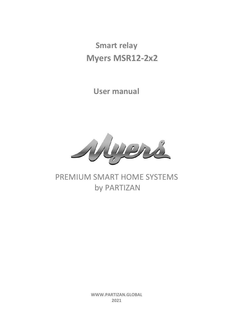**Smart relay Myers MSR12-2х2**

**User manual**



# PREMIUM SMART HOME SYSTEMS by PARTIZAN

**WWW.PARTIZAN.GLOBAL 2021**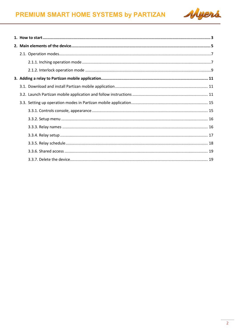

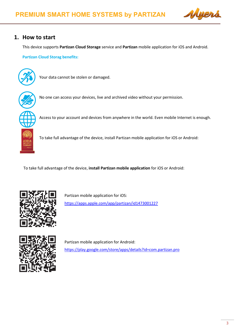

# <span id="page-2-0"></span>**1. How to start**

This device supports **Partizan Cloud Storage** service and **Partizan** mobile application for iOS and Android.

**Partizan Cloud Storag benefits:**



Your data cannot be stolen or damaged.



No one can access your devices, live and archived video without your permission.



To take full advantage of the device, install Partizan mobile application for iOS or Android:

Access to your account and devices from anywhere in the world. Even mobile Internet is enough.

To take full advantage of the device, **install Partizan mobile application** for iOS or Android:



Partizan mobile application for iOS: <https://apps.apple.com/app/partizan/id1473001227>



Partizan mobile application for Android: <https://play.google.com/store/apps/details?id=com.partizan.pro>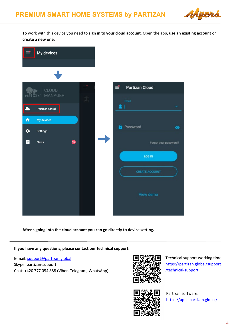

To work with this device you need to **sign in to your cloud account**. Open the app, **use an existing account** or **create a new one:**



**After signing into the cloud account you can go directly to device setting.**

**If you have any questions, please contact our technical support:**

E-mail[: support@partizan.global](mailto:support@partizan.global) Skype: partizan-support Chat: +420 777 054 888 (Viber, Telegram, WhatsApp)



Technical support working time: [https://partizan.global/support](https://partizan.global/support/technical-support) [/technical-support](https://partizan.global/support/technical-support)



Partizan software: <https://apps.partizan.global/>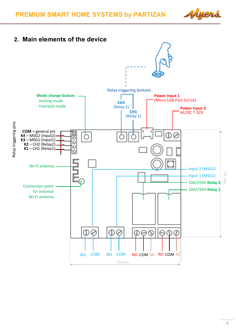<span id="page-4-0"></span>

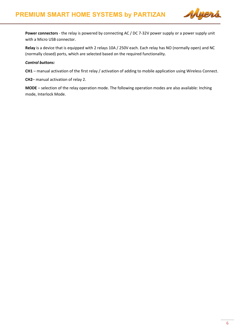

**Power connectors** - the relay is powered by connecting AC / DC 7-32V power supply or a power supply unit with a Micro USB connector.

**Relay** is a device that is equipped with 2 relays 10A / 250V each. Each relay has NO (normally open) and NC (normally closed) ports, which are selected based on the required functionality.

#### *Control buttons:*

**CH1** – manual activation of the first relay / activation of adding to mobile application using Wireless Connect.

**CH2**– manual activation of relay 2.

**MODE** – selection of the relay operation mode. The following operation modes are also available: Inching mode, Interlock Mode.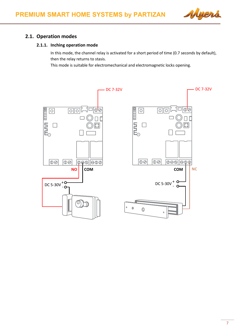

# <span id="page-6-1"></span>**2.1. Operation modes**

#### <span id="page-6-0"></span>**2.1.1. Inching operation mode**

In this mode, the channel relay is activated for a short period of time (0.7 seconds by default), then the relay returns to stasis.

This mode is suitable for electromechanical and electromagnetic locks opening.

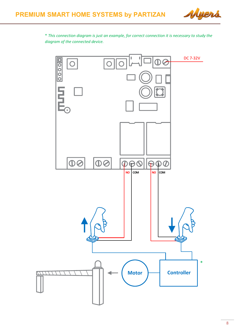

\* *This connection diagram is just an example, for correct connection it is necessary to study the diagram of the connected device.*

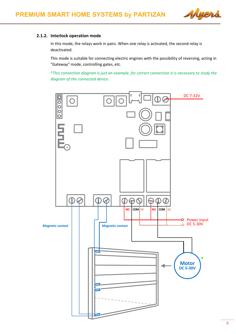

#### <span id="page-8-0"></span>**2.1.2. Interlock operation mode**

In this mode, the relays work in pairs. When one relay is activated, the second relay is deactivated.

This mode is suitable for connecting electric engines with the possibility of reversing, acting in "Gateway" mode, controlling gates, etc.

\**This connection diagram is just an example, for correct connection it is necessary to study the diagram of the connected device*.

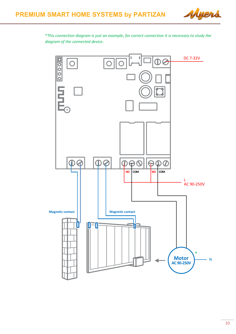

\**This connection diagram is just an example, for correct connection it is necessary to study the diagram of the connected device*.

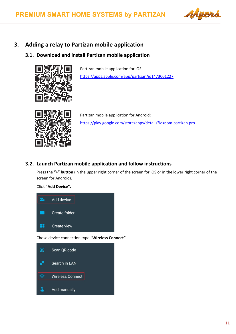

# <span id="page-10-0"></span>**3. Adding a relay to Partizan mobile application**

# <span id="page-10-1"></span>**3.1. Download and install Partizan mobile application**



Partizan mobile application for iOS: <https://apps.apple.com/app/partizan/id1473001227>



Partizan mobile application for Android: <https://play.google.com/store/apps/details?id=com.partizan.pro>

### <span id="page-10-2"></span>**3.2. Launch Partizan mobile application and follow instructions**

Press the **"+" button** (in the upper right corner of the screen for iOS or in the lower right corner of the screen for Android).

Click **"Add Device".**



Chose device connection type **"Wireless Сonnect"**.

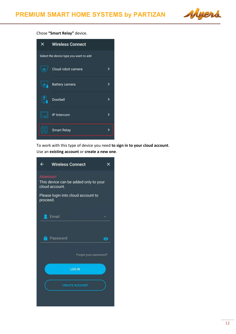

#### Chose **"Smart Relay"** device.



To work with this type of device you need **to sign in to your cloud account**. Use an **existing account** or **create a new one**.

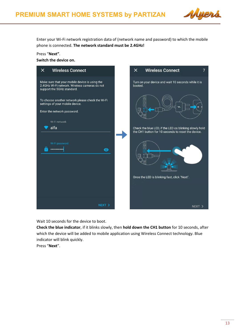

Enter your Wi-Fi network registration data of (network name and password) to which the mobile phone is connected. **The network standard must be 2.4GHz!**

#### Press "**Next"**.

**Switch the device on.**

| <b>Wireless Connect</b><br>$\times$                                                                                                                                                                                                                                          | <b>Wireless Connect</b><br>$\times$<br>7                                                                                            |
|------------------------------------------------------------------------------------------------------------------------------------------------------------------------------------------------------------------------------------------------------------------------------|-------------------------------------------------------------------------------------------------------------------------------------|
| Make sure that your mobile device is using the<br>2.4GHz Wi-Fi network. Wireless cameras do not<br>support the 5GHz standard.<br>To choose another network please check the Wi-Fi<br>settings of your mobile device.<br>Enter the network password.<br>Wi-Fi network<br>alfa | Turn on your device and wait 10 seconds while it is<br>booted.<br>$\circ$<br>Check the blue LED, if the LED os blinking slowly hold |
| Wi-Fi password<br><mark>.</mark><br>$\mathbf{\Theta}$                                                                                                                                                                                                                        | the CH1 button for 10 seconds to reset the device.<br>$\circ$<br>Once the LED is blinking fast, click "Next".                       |
| NEXT >                                                                                                                                                                                                                                                                       | NEXT >                                                                                                                              |

Wait 10 seconds for the device to boot.

**Check the blue indicator**, if it blinks slowly, then **hold down the CH1 button** for 10 seconds, after which the device will be added to mobile application using Wireless Connect technology. Blue indicator will blink quickly.

Press "**Next**".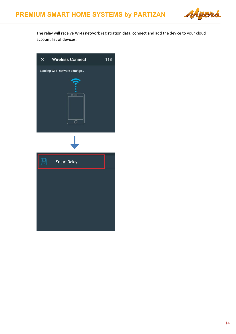

The relay will receive Wi-Fi network registration data, connect and add the device to your cloud account list of devices.

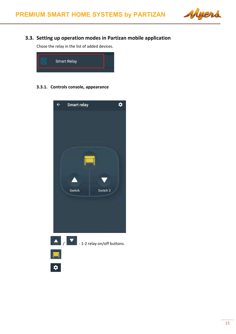

# <span id="page-14-0"></span>**3.3. Setting up operation modes in Partizan mobile application**

Chose the relay in the list of added devices.



<span id="page-14-1"></span>**3.3.1. Controls console, appearance**

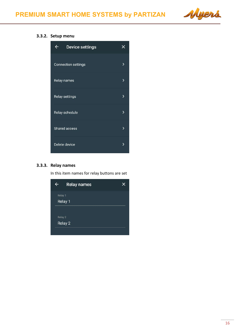

#### <span id="page-15-0"></span>**3.3.2. Setup menu**



#### <span id="page-15-1"></span>**3.3.3. Relay names**

In this item names for relay buttons are set

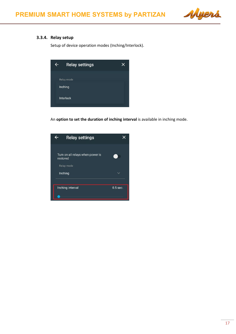

## <span id="page-16-0"></span>**3.3.4. Relay setup**

Setup of device operation modes (Inching/Interlock).

| <b>Relay settings</b> |  |
|-----------------------|--|
| Relay mode            |  |
| Inching               |  |
| Interlock             |  |
|                       |  |

An **option to set the duration of inching interval** is available in inching mode.

| <b>Relay settings</b>                                      |            |
|------------------------------------------------------------|------------|
| Turn on all relays when power is<br>restored<br>Relay mode |            |
| Inching                                                    |            |
| Inching interval                                           | $0.5$ sec. |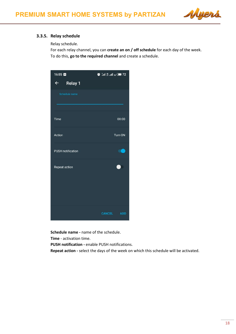

#### <span id="page-17-0"></span>**3.3.5. Relay schedule**

Relay schedule.

For each relay channel, you can **create an on / off schedule** for each day of the week. To do this, **go to the required channel** and create a schedule.



**Schedule name -** name of the schedule.

**Time** - activation time.

**PUSH notification -** enable PUSH notifications.

**Repeat action -** select the days of the week on which this schedule will be activated.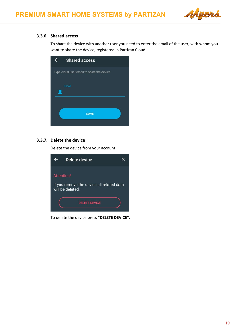

#### <span id="page-18-0"></span>**3.3.6. Shared access**

To share the device with another user you need to enter the email of the user, with whom you want to share the device, registered in Partizan Cloud

| <b>Shared access</b>                      |
|-------------------------------------------|
| Type cloud user email to share the device |
| Email                                     |
|                                           |
| <b>SAVE</b>                               |
|                                           |

#### <span id="page-18-1"></span>**3.3.7. Delete the device**

Delete the device from your account.



To delete the device press **"DELETE DEVICE"**.